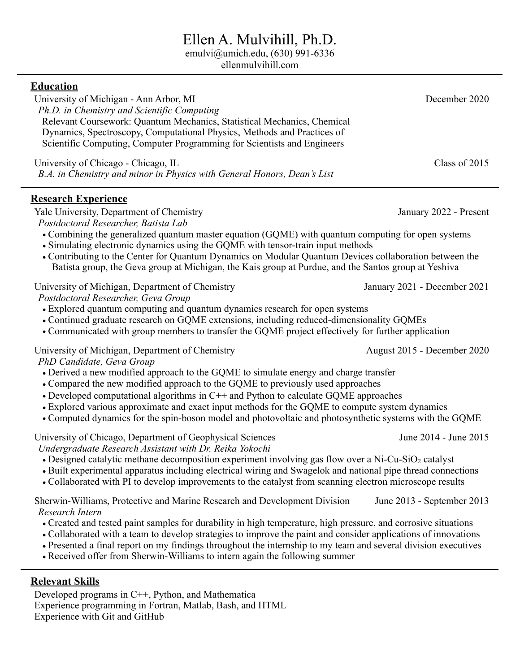# Ellen A. Mulvihill, Ph.D.

emulvi@umich.edu, (630) 991-6336

ellenmulvihill.com

| <b>Education</b>                                                                                                |                              |  |
|-----------------------------------------------------------------------------------------------------------------|------------------------------|--|
| University of Michigan - Ann Arbor, MI                                                                          | December 2020                |  |
| Ph.D. in Chemistry and Scientific Computing                                                                     |                              |  |
| Relevant Coursework: Quantum Mechanics, Statistical Mechanics, Chemical                                         |                              |  |
| Dynamics, Spectroscopy, Computational Physics, Methods and Practices of                                         |                              |  |
| Scientific Computing, Computer Programming for Scientists and Engineers                                         |                              |  |
| University of Chicago - Chicago, IL                                                                             | Class of 2015                |  |
| B.A. in Chemistry and minor in Physics with General Honors, Dean's List                                         |                              |  |
|                                                                                                                 |                              |  |
| <b>Research Experience</b>                                                                                      |                              |  |
| Yale University, Department of Chemistry                                                                        | January 2022 - Present       |  |
| Postdoctoral Researcher, Batista Lab                                                                            |                              |  |
| • Combining the generalized quantum master equation (GQME) with quantum computing for open systems              |                              |  |
| • Simulating electronic dynamics using the GQME with tensor-train input methods                                 |                              |  |
| • Contributing to the Center for Quantum Dynamics on Modular Quantum Devices collaboration between the          |                              |  |
| Batista group, the Geva group at Michigan, the Kais group at Purdue, and the Santos group at Yeshiva            |                              |  |
| University of Michigan, Department of Chemistry                                                                 | January 2021 - December 2021 |  |
| Postdoctoral Researcher, Geva Group                                                                             |                              |  |
| • Explored quantum computing and quantum dynamics research for open systems                                     |                              |  |
| • Continued graduate research on GQME extensions, including reduced-dimensionality GQMEs                        |                              |  |
| • Communicated with group members to transfer the GQME project effectively for further application              |                              |  |
| University of Michigan, Department of Chemistry                                                                 | August 2015 - December 2020  |  |
| PhD Candidate, Geva Group                                                                                       |                              |  |
| • Derived a new modified approach to the GQME to simulate energy and charge transfer                            |                              |  |
| • Compared the new modified approach to the GQME to previously used approaches                                  |                              |  |
| • Developed computational algorithms in $C++$ and Python to calculate GQME approaches                           |                              |  |
| • Explored various approximate and exact input methods for the GQME to compute system dynamics                  |                              |  |
| • Computed dynamics for the spin-boson model and photovoltaic and photosynthetic systems with the GQME          |                              |  |
| University of Chicago, Department of Geophysical Sciences                                                       | June 2014 - June 2015        |  |
| Undergraduate Research Assistant with Dr. Reika Yokochi                                                         |                              |  |
| • Designed catalytic methane decomposition experiment involving gas flow over a Ni-Cu-SiO <sub>2</sub> catalyst |                              |  |
| • Built experimental apparatus including electrical wiring and Swagelok and national pipe thread connections    |                              |  |
| • Collaborated with PI to develop improvements to the catalyst from scanning electron microscope results        |                              |  |
| Sherwin-Williams, Protective and Marine Research and Development Division                                       | June 2013 - September 2013   |  |
| Research Intern                                                                                                 |                              |  |
| • Created and tested paint samples for durability in high temperature, high pressure, and corrosive situations  |                              |  |
| • Collaborated with a team to develop strategies to improve the paint and consider applications of innovations  |                              |  |
| • Presented a final report on my findings throughout the internship to my team and several division executives  |                              |  |
| • Received offer from Sherwin-Williams to intern again the following summer                                     |                              |  |
|                                                                                                                 |                              |  |
| <b>Relevant Skills</b>                                                                                          |                              |  |

Developed programs in C++, Python, and Mathematica Experience programming in Fortran, Matlab, Bash, and HTML Experience with Git and GitHub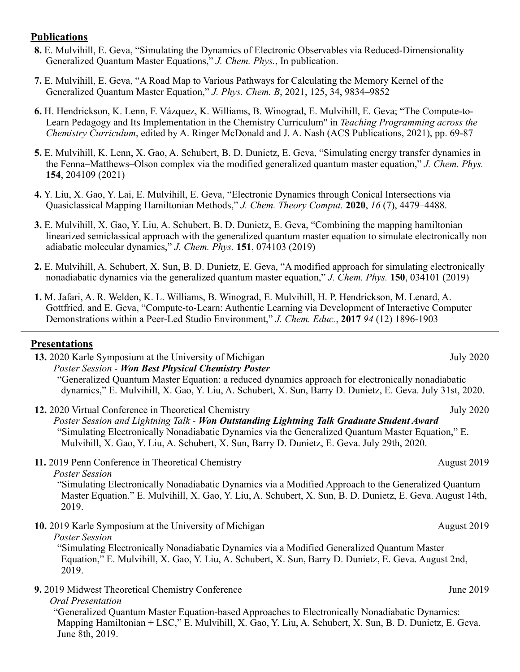#### **Publications**

- **8.** E. Mulvihill, E. Geva, "Simulating the Dynamics of Electronic Observables via Reduced-Dimensionality Generalized Quantum Master Equations," *J. Chem. Phys.*, In publication.
- **7.** E. Mulvihill, E. Geva, "A Road Map to Various Pathways for Calculating the Memory Kernel of the Generalized Quantum Master Equation," *J. Phys. Chem. B*, 2021, 125, 34, 9834–9852
- **6.** H. Hendrickson, K. Lenn, F. Vázquez, K. Williams, B. Winograd, E. Mulvihill, E. Geva; "The Compute-to-Learn Pedagogy and Its Implementation in the Chemistry Curriculum" in *Teaching Programming across the Chemistry Curriculum*, edited by A. Ringer McDonald and J. A. Nash (ACS Publications, 2021), pp. 69-87
- **5.** E. Mulvihill, K. Lenn, X. Gao, A. Schubert, B. D. Dunietz, E. Geva, "Simulating energy transfer dynamics in the Fenna–Matthews–Olson complex via the modified generalized quantum master equation," *J. Chem. Phys.* **154**, 204109 (2021)
- **4.** Y. Liu, X. Gao, Y. Lai, E. Mulvihill, E. Geva, "Electronic Dynamics through Conical Intersections via Quasiclassical Mapping Hamiltonian Methods," *J. Chem. Theory Comput.* **2020**, *16* (7), 4479–4488.
- **3.** E. Mulvihill, X. Gao, Y. Liu, A. Schubert, B. D. Dunietz, E. Geva, "Combining the mapping hamiltonian linearized semiclassical approach with the generalized quantum master equation to simulate electronically non adiabatic molecular dynamics," *J. Chem. Phys.* **151**, 074103 (2019)
- **2.** E. Mulvihill, A. Schubert, X. Sun, B. D. Dunietz, E. Geva, "A modified approach for simulating electronically nonadiabatic dynamics via the generalized quantum master equation," *J. Chem. Phys.* **150**, 034101 (2019)
- **1.** M. Jafari, A. R. Welden, K. L. Williams, B. Winograd, E. Mulvihill, H. P. Hendrickson, M. Lenard, A. Gottfried, and E. Geva, "Compute-to-Learn: Authentic Learning via Development of Interactive Computer Demonstrations within a Peer-Led Studio Environment," *J. Chem. Educ.*, **2017** *94* (12) 1896-1903

#### **Presentations**

**13.** 2020 Karle Symposium at the University of Michigan July 2020 *Poster Session - Won Best Physical Chemistry Poster* "Generalized Quantum Master Equation: a reduced dynamics approach for electronically nonadiabatic dynamics," E. Mulvihill, X. Gao, Y. Liu, A. Schubert, X. Sun, Barry D. Dunietz, E. Geva. July 31st, 2020.

**12.** 2020 Virtual Conference in Theoretical Chemistry July 2020 *Poster Session and Lightning Talk - Won Outstanding Lightning Talk Graduate Student Award* "Simulating Electronically Nonadiabatic Dynamics via the Generalized Quantum Master Equation," E. Mulvihill, X. Gao, Y. Liu, A. Schubert, X. Sun, Barry D. Dunietz, E. Geva. July 29th, 2020.

**11.** 2019 Penn Conference in Theoretical Chemistry August 2019

*Poster Session*

"Simulating Electronically Nonadiabatic Dynamics via a Modified Approach to the Generalized Quantum Master Equation." E. Mulvihill, X. Gao, Y. Liu, A. Schubert, X. Sun, B. D. Dunietz, E. Geva. August 14th, 2019.

**10.** 2019 Karle Symposium at the University of Michigan August 2019 August 2019

*Poster Session*

"Simulating Electronically Nonadiabatic Dynamics via a Modified Generalized Quantum Master Equation," E. Mulvihill, X. Gao, Y. Liu, A. Schubert, X. Sun, Barry D. Dunietz, E. Geva. August 2nd, 2019.

**9.** 2019 Midwest Theoretical Chemistry Conference June 2019

#### *Oral Presentation*

"Generalized Quantum Master Equation-based Approaches to Electronically Nonadiabatic Dynamics: Mapping Hamiltonian + LSC," E. Mulvihill, X. Gao, Y. Liu, A. Schubert, X. Sun, B. D. Dunietz, E. Geva. June 8th, 2019.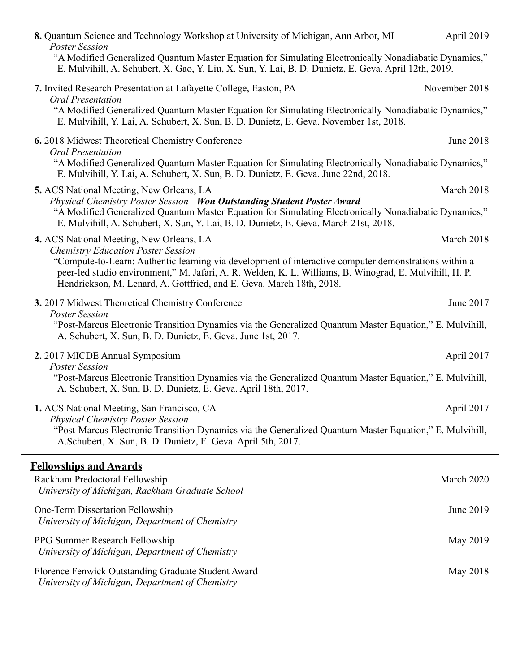| 8. Quantum Science and Technology Workshop at University of Michigan, Ann Arbor, MI<br><b>Poster Session</b><br>"A Modified Generalized Quantum Master Equation for Simulating Electronically Nonadiabatic Dynamics,"<br>E. Mulvihill, A. Schubert, X. Gao, Y. Liu, X. Sun, Y. Lai, B. D. Dunietz, E. Geva. April 12th, 2019.                                                     | April 2019    |
|-----------------------------------------------------------------------------------------------------------------------------------------------------------------------------------------------------------------------------------------------------------------------------------------------------------------------------------------------------------------------------------|---------------|
| 7. Invited Research Presentation at Lafayette College, Easton, PA                                                                                                                                                                                                                                                                                                                 | November 2018 |
| <b>Oral Presentation</b><br>"A Modified Generalized Quantum Master Equation for Simulating Electronically Nonadiabatic Dynamics,"<br>E. Mulvihill, Y. Lai, A. Schubert, X. Sun, B. D. Dunietz, E. Geva. November 1st, 2018.                                                                                                                                                       |               |
| 6. 2018 Midwest Theoretical Chemistry Conference<br><b>Oral Presentation</b><br>"A Modified Generalized Quantum Master Equation for Simulating Electronically Nonadiabatic Dynamics,"<br>E. Mulvihill, Y. Lai, A. Schubert, X. Sun, B. D. Dunietz, E. Geva. June 22nd, 2018.                                                                                                      | June 2018     |
| <b>5. ACS</b> National Meeting, New Orleans, LA<br>Physical Chemistry Poster Session - Won Outstanding Student Poster Award<br>"A Modified Generalized Quantum Master Equation for Simulating Electronically Nonadiabatic Dynamics,"<br>E. Mulvihill, A. Schubert, X. Sun, Y. Lai, B. D. Dunietz, E. Geva. March 21st, 2018.                                                      | March 2018    |
| 4. ACS National Meeting, New Orleans, LA<br><b>Chemistry Education Poster Session</b><br>"Compute-to-Learn: Authentic learning via development of interactive computer demonstrations within a<br>peer-led studio environment," M. Jafari, A. R. Welden, K. L. Williams, B. Winograd, E. Mulvihill, H. P.<br>Hendrickson, M. Lenard, A. Gottfried, and E. Geva. March 18th, 2018. | March 2018    |
| 3. 2017 Midwest Theoretical Chemistry Conference<br><b>Poster Session</b><br>"Post-Marcus Electronic Transition Dynamics via the Generalized Quantum Master Equation," E. Mulvihill,<br>A. Schubert, X. Sun, B. D. Dunietz, E. Geva. June 1st, 2017.                                                                                                                              | June 2017     |
| 2. 2017 MICDE Annual Symposium<br><b>Poster Session</b><br>"Post-Marcus Electronic Transition Dynamics via the Generalized Quantum Master Equation," E. Mulvihill,<br>A. Schubert, X. Sun, B. D. Dunietz, E. Geva. April 18th, 2017.                                                                                                                                              | April 2017    |
| 1. ACS National Meeting, San Francisco, CA<br><b>Physical Chemistry Poster Session</b><br>"Post-Marcus Electronic Transition Dynamics via the Generalized Quantum Master Equation," E. Mulvihill,<br>A.Schubert, X. Sun, B. D. Dunietz, E. Geva. April 5th, 2017.                                                                                                                 | April 2017    |
| <b>Fellowships and Awards</b><br>Rackham Predoctoral Fellowship<br>University of Michigan, Rackham Graduate School                                                                                                                                                                                                                                                                | March 2020    |
| One-Term Dissertation Fellowship<br>University of Michigan, Department of Chemistry                                                                                                                                                                                                                                                                                               | June 2019     |
| PPG Summer Research Fellowship<br>University of Michigan, Department of Chemistry                                                                                                                                                                                                                                                                                                 | May 2019      |
| Florence Fenwick Outstanding Graduate Student Award<br>University of Michigan, Department of Chemistry                                                                                                                                                                                                                                                                            | May 2018      |
|                                                                                                                                                                                                                                                                                                                                                                                   |               |